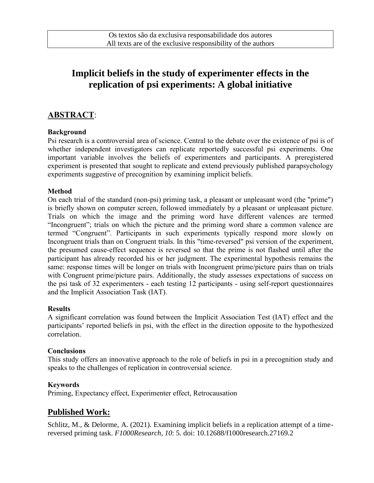# **Implicit beliefs in the study of experimenter effects in the replication of psi experiments: A global initiative**

# **ABSTRACT**:

### **Background**

Psi research is a controversial area of science. Central to the debate over the existence of psi is of whether independent investigators can replicate reportedly successful psi experiments. One important variable involves the beliefs of experimenters and participants. A preregistered experiment is presented that sought to replicate and extend previously published parapsychology experiments suggestive of precognition by examining implicit beliefs.

### **Method**

On each trial of the standard (non-psi) priming task, a pleasant or unpleasant word (the "prime") is briefly shown on computer screen, followed immediately by a pleasant or unpleasant picture. Trials on which the image and the priming word have different valences are termed "Incongruent"; trials on which the picture and the priming word share a common valence are termed "Congruent". Participants in such experiments typically respond more slowly on Incongruent trials than on Congruent trials. In this "time-reversed" psi version of the experiment, the presumed cause-effect sequence is reversed so that the prime is not flashed until after the participant has already recorded his or her judgment. The experimental hypothesis remains the same: response times will be longer on trials with Incongruent prime/picture pairs than on trials with Congruent prime/picture pairs. Additionally, the study assesses expectations of success on the psi task of 32 experimenters - each testing 12 participants - using self-report questionnaires and the Implicit Association Task (IAT).

#### **Results**

A significant correlation was found between the Implicit Association Test (IAT) effect and the participants' reported beliefs in psi, with the effect in the direction opposite to the hypothesized correlation.

#### **Conclusions**

This study offers an innovative approach to the role of beliefs in psi in a precognition study and speaks to the challenges of replication in controversial science.

#### **Keywords**

Priming, Expectancy effect, Experimenter effect, Retrocausation

## **Published Work:**

Schlitz, M., & Delorme, A. (2021). Examining implicit beliefs in a replication attempt of a timereversed priming task. *F1000Research, 10*: 5. doi: 10.12688/f1000research.27169.2